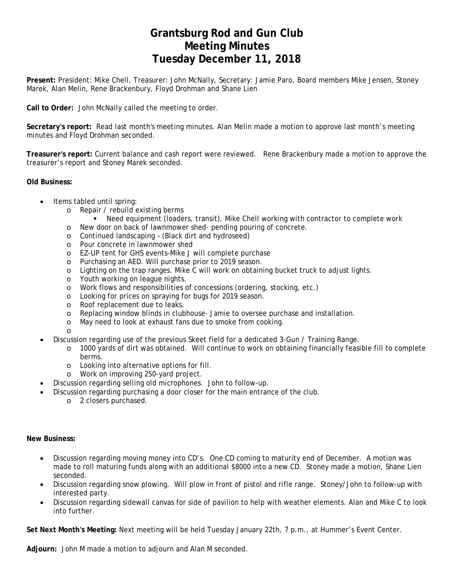## **Grantsburg Rod and Gun Club Meeting Minutes Tuesday December 11, 2018**

**Present:** President: Mike Chell, Treasurer: John McNally, Secretary: Jamie Paro, Board members Mike Jensen, Stoney Marek, Alan Melin, Rene Brackenbury, Floyd Drohman and Shane Lien

**Call to Order:** John McNally called the meeting to order.

**Secretary's report:** Read last month's meeting minutes. Alan Melin made a motion to approve last month's meeting minutes and Floyd Drohman seconded.

**Treasurer's report:** Current balance and cash report were reviewed. Rene Brackenbury made a motion to approve the treasurer's report and Stoney Marek seconded.

### **Old Business:**

- Items tabled until spring:
	- o Repair / rebuild existing berms
		- Need equipment (loaders, transit), Mike Chell working with contractor to complete work
	- o New door on back of lawnmower shed- pending pouring of concrete.
	- o Continued landscaping (Black dirt and hydroseed)
	- o Pour concrete in lawnmower shed
	- o EZ-UP tent for GHS events-Mike J will complete purchase
	- o Purchasing an AED. Will purchase prior to 2019 season.
	- o Lighting on the trap ranges. Mike C will work on obtaining bucket truck to adjust lights.
	- o Youth working on league nights.
	- o Work flows and responsibilities of concessions (ordering, stocking, etc.)
	- o Looking for prices on spraying for bugs for 2019 season.
	- o Roof replacement due to leaks.
	- o Replacing window blinds in clubhouse- Jamie to oversee purchase and installation.
	- o May need to look at exhaust fans due to smoke from cooking.
	- o
- Discussion regarding use of the previous Skeet field for a dedicated 3-Gun / Training Range.
	- o 1000 yards of dirt was obtained. Will continue to work on obtaining financially feasible fill to complete berms.
	- o Looking into alternative options for fill.
	- o Work on improving 250-yard project.
- Discussion regarding selling old microphones. John to follow-up.
- Discussion regarding purchasing a door closer for the main entrance of the club.
	- o 2 closers purchased.

#### **New Business:**

- Discussion regarding moving money into CD's. One CD coming to maturity end of December. A motion was made to roll maturing funds along with an additional \$8000 into a new CD. Stoney made a motion, Shane Lien seconded.
- Discussion regarding snow plowing. Will plow in front of pistol and rifle range. Stoney/John to follow-up with interested party.
- Discussion regarding sidewall canvas for side of pavilion to help with weather elements. Alan and Mike C to look into further.

**Set Next Month's Meeting:** Next meeting will be held Tuesday January 22th, 7 p.m., at Hummer's Event Center.

**Adjourn:** John M made a motion to adjourn and Alan M seconded.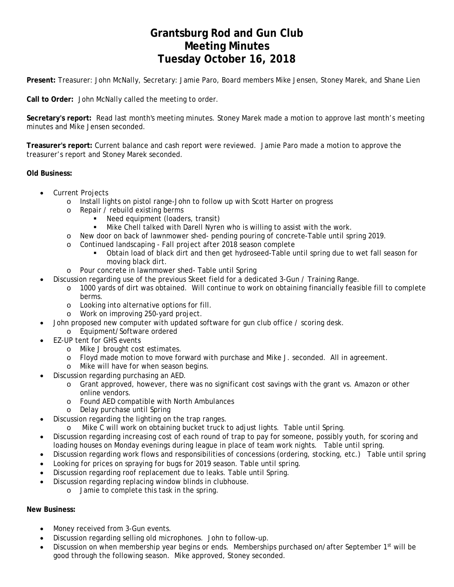# **Grantsburg Rod and Gun Club Meeting Minutes Tuesday October 16, 2018**

**Present:** Treasurer: John McNally, Secretary: Jamie Paro, Board members Mike Jensen, Stoney Marek, and Shane Lien

**Call to Order:** John McNally called the meeting to order.

**Secretary's report:** Read last month's meeting minutes. Stoney Marek made a motion to approve last month's meeting minutes and Mike Jensen seconded.

**Treasurer's report:** Current balance and cash report were reviewed. Jamie Paro made a motion to approve the treasurer's report and Stoney Marek seconded.

### **Old Business:**

- Current Projects
	- o Install lights on pistol range-John to follow up with Scott Harter on progress
	- o Repair / rebuild existing berms
		- Need equipment (loaders, transit)
		- Mike Chell talked with Darell Nyren who is willing to assist with the work.
	- o New door on back of lawnmower shed- pending pouring of concrete-Table until spring 2019.
	- o Continued landscaping Fall project after 2018 season complete
		- Obtain load of black dirt and then get hydroseed-Table until spring due to wet fall season for moving black dirt.
	- o Pour concrete in lawnmower shed- Table until Spring
	- Discussion regarding use of the previous Skeet field for a dedicated 3-Gun / Training Range.
		- o 1000 yards of dirt was obtained. Will continue to work on obtaining financially feasible fill to complete berms.
		- o Looking into alternative options for fill.
		- o Work on improving 250-yard project.
- John proposed new computer with updated software for gun club office / scoring desk.
	- o Equipment/Software ordered
- EZ-UP tent for GHS events
	- o Mike J brought cost estimates.
	- o Floyd made motion to move forward with purchase and Mike J. seconded. All in agreement.
	- o Mike will have for when season begins.
- Discussion regarding purchasing an AED.
	- o Grant approved, however, there was no significant cost savings with the grant vs. Amazon or other online vendors.
	- o Found AED compatible with North Ambulances
	- o Delay purchase until Spring
- Discussion regarding the lighting on the trap ranges.
	- o Mike C will work on obtaining bucket truck to adjust lights. Table until Spring.
- Discussion regarding increasing cost of each round of trap to pay for someone, possibly youth, for scoring and loading houses on Monday evenings during league in place of team work nights. Table until spring.
- Discussion regarding work flows and responsibilities of concessions (ordering, stocking, etc.) Table until spring
- Looking for prices on spraying for bugs for 2019 season. Table until spring.
- Discussion regarding roof replacement due to leaks. Table until Spring.
- Discussion regarding replacing window blinds in clubhouse.
	- o Jamie to complete this task in the spring.

- Money received from 3-Gun events.
- Discussion regarding selling old microphones. John to follow-up.
- Discussion on when membership year begins or ends. Memberships purchased on/after September 1st will be good through the following season. Mike approved, Stoney seconded.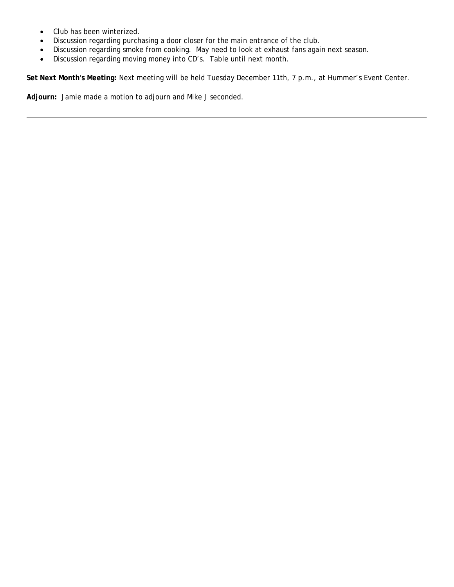- Club has been winterized.
- Discussion regarding purchasing a door closer for the main entrance of the club.
- Discussion regarding smoke from cooking. May need to look at exhaust fans again next season.
- Discussion regarding moving money into CD's. Table until next month.

**Set Next Month's Meeting:** Next meeting will be held Tuesday December 11th, 7 p.m., at Hummer's Event Center.

**Adjourn:** Jamie made a motion to adjourn and Mike J seconded.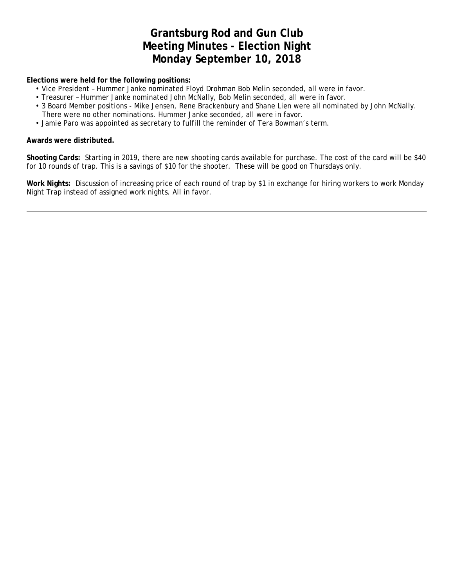# **Grantsburg Rod and Gun Club Meeting Minutes - Election Night Monday September 10, 2018**

### **Elections were held for the following positions:**

- Vice President Hummer Janke nominated Floyd Drohman Bob Melin seconded, all were in favor.
- Treasurer Hummer Janke nominated John McNally, Bob Melin seconded, all were in favor.
- 3 Board Member positions Mike Jensen, Rene Brackenbury and Shane Lien were all nominated by John McNally. There were no other nominations. Hummer Janke seconded, all were in favor.
- Jamie Paro was appointed as secretary to fulfill the reminder of Tera Bowman's term.

#### **Awards were distributed.**

**Shooting Cards:** Starting in 2019, there are new shooting cards available for purchase. The cost of the card will be \$40 for 10 rounds of trap. This is a savings of \$10 for the shooter. These will be good on Thursdays only.

**Work Nights:** Discussion of increasing price of each round of trap by \$1 in exchange for hiring workers to work Monday Night Trap instead of assigned work nights. All in favor.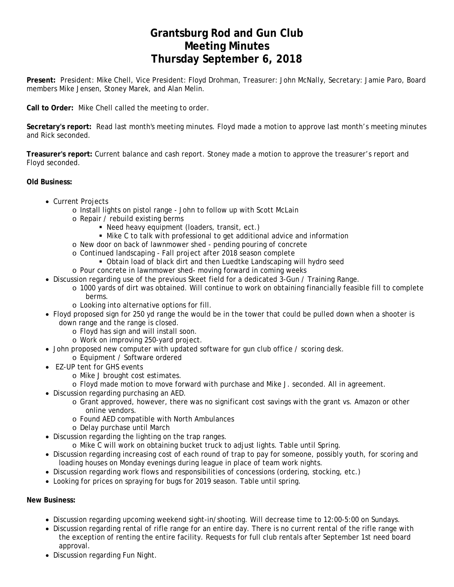# **Grantsburg Rod and Gun Club Meeting Minutes Thursday September 6, 2018**

**Present:** President: Mike Chell, Vice President: Floyd Drohman, Treasurer: John McNally, Secretary: Jamie Paro, Board members Mike Jensen, Stoney Marek, and Alan Melin.

**Call to Order:** Mike Chell called the meeting to order.

**Secretary's report:** Read last month's meeting minutes. Floyd made a motion to approve last month's meeting minutes and Rick seconded.

**Treasurer's report:** Current balance and cash report. Stoney made a motion to approve the treasurer's report and Floyd seconded.

### **Old Business:**

- Current Projects
	- o Install lights on pistol range John to follow up with Scott McLain
	- o Repair / rebuild existing berms
		- Need heavy equipment (loaders, transit, ect.)
		- Mike C to talk with professional to get additional advice and information
	- o New door on back of lawnmower shed pending pouring of concrete
	- o Continued landscaping Fall project after 2018 season complete
		- Obtain load of black dirt and then Luedtke Landscaping will hydro seed
	- o Pour concrete in lawnmower shed- moving forward in coming weeks
- Discussion regarding use of the previous Skeet field for a dedicated 3-Gun / Training Range.
	- o 1000 yards of dirt was obtained. Will continue to work on obtaining financially feasible fill to complete berms.
	- o Looking into alternative options for fill.
- Floyd proposed sign for 250 yd range the would be in the tower that could be pulled down when a shooter is down range and the range is closed.
	- o Floyd has sign and will install soon.
	- o Work on improving 250-yard project.
- John proposed new computer with updated software for gun club office / scoring desk.
	- o Equipment / Software ordered
- EZ-UP tent for GHS events
	- o Mike J brought cost estimates.
	- o Floyd made motion to move forward with purchase and Mike J. seconded. All in agreement.
- Discussion regarding purchasing an AED.
	- o Grant approved, however, there was no significant cost savings with the grant vs. Amazon or other online vendors.
	- o Found AED compatible with North Ambulances
	- o Delay purchase until March
- Discussion regarding the lighting on the trap ranges.
	- o Mike C will work on obtaining bucket truck to adjust lights. Table until Spring.
- Discussion regarding increasing cost of each round of trap to pay for someone, possibly youth, for scoring and loading houses on Monday evenings during league in place of team work nights.
- Discussion regarding work flows and responsibilities of concessions (ordering, stocking, etc.)
- Looking for prices on spraying for bugs for 2019 season. Table until spring.

- Discussion regarding upcoming weekend sight-in/shooting. Will decrease time to 12:00-5:00 on Sundays.
- Discussion regarding rental of rifle range for an entire day. There is no current rental of the rifle range with the exception of renting the entire facility. Requests for full club rentals after September 1st need board approval.
- Discussion regarding Fun Night.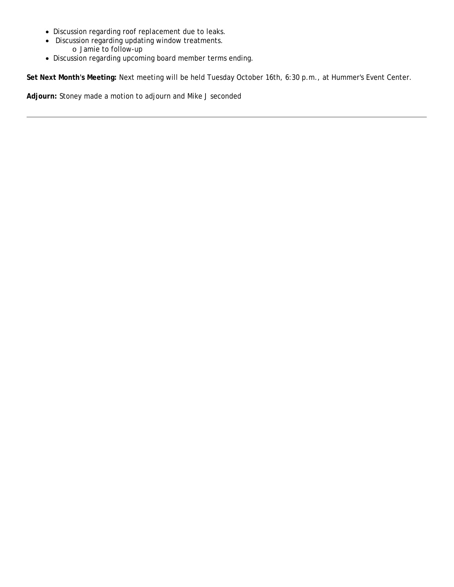- Discussion regarding roof replacement due to leaks.
- Discussion regarding updating window treatments.
	- o Jamie to follow-up
- Discussion regarding upcoming board member terms ending.

**Set Next Month's Meeting:** Next meeting will be held Tuesday October 16th, 6:30 p.m., at Hummer's Event Center.

**Adjourn:** Stoney made a motion to adjourn and Mike J seconded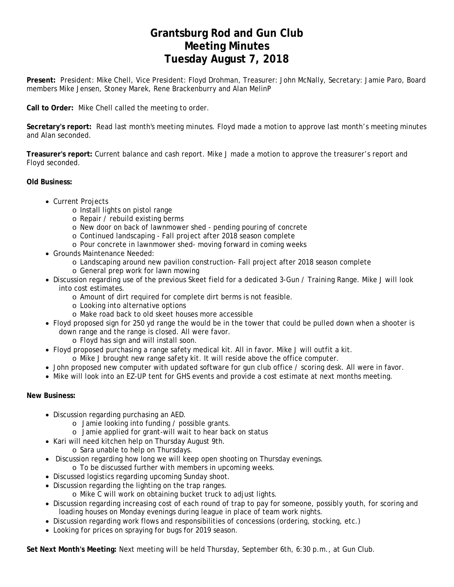# **Grantsburg Rod and Gun Club Meeting Minutes Tuesday August 7, 2018**

**Present:** President: Mike Chell, Vice President: Floyd Drohman, Treasurer: John McNally, Secretary: Jamie Paro, Board members Mike Jensen, Stoney Marek, Rene Brackenburry and Alan MelinP

**Call to Order:** Mike Chell called the meeting to order.

**Secretary's report:** Read last month's meeting minutes. Floyd made a motion to approve last month's meeting minutes and Alan seconded.

**Treasurer's report:** Current balance and cash report. Mike J made a motion to approve the treasurer's report and Floyd seconded.

### **Old Business:**

- Current Projects
	- o Install lights on pistol range
	- o Repair / rebuild existing berms
	- o New door on back of lawnmower shed pending pouring of concrete
	- o Continued landscaping Fall project after 2018 season complete
	- o Pour concrete in lawnmower shed- moving forward in coming weeks
- Grounds Maintenance Needed:
	- o Landscaping around new pavilion construction- Fall project after 2018 season complete
	- o General prep work for lawn mowing
- Discussion regarding use of the previous Skeet field for a dedicated 3-Gun / Training Range. Mike J will look into cost estimates.
	- o Amount of dirt required for complete dirt berms is not feasible.
	- o Looking into alternative options
	- o Make road back to old skeet houses more accessible
- Floyd proposed sign for 250 yd range the would be in the tower that could be pulled down when a shooter is down range and the range is closed. All were favor.
	- o Floyd has sign and will install soon.
- Floyd proposed purchasing a range safety medical kit. All in favor. Mike J will outfit a kit.
	- o Mike J brought new range safety kit. It will reside above the office computer.
- John proposed new computer with updated software for gun club office / scoring desk. All were in favor.
- Mike will look into an EZ-UP tent for GHS events and provide a cost estimate at next months meeting.

#### **New Business:**

- Discussion regarding purchasing an AED.
	- o Jamie looking into funding / possible grants.
	- o Jamie applied for grant-will wait to hear back on status
- Kari will need kitchen help on Thursday August 9th.
	- o Sara unable to help on Thursdays.
- Discussion regarding how long we will keep open shooting on Thursday evenings.
	- o To be discussed further with members in upcoming weeks.
- Discussed logistics regarding upcoming Sunday shoot.
- Discussion regarding the lighting on the trap ranges.
	- o Mike C will work on obtaining bucket truck to adjust lights.
- Discussion regarding increasing cost of each round of trap to pay for someone, possibly youth, for scoring and loading houses on Monday evenings during league in place of team work nights.
- Discussion regarding work flows and responsibilities of concessions (ordering, stocking, etc.)
- Looking for prices on spraying for bugs for 2019 season.

**Set Next Month's Meeting:** Next meeting will be held Thursday, September 6th, 6:30 p.m., at Gun Club.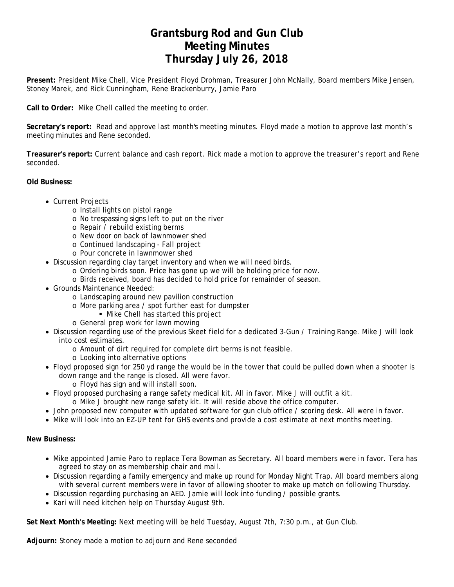# **Grantsburg Rod and Gun Club Meeting Minutes Thursday July 26, 2018**

**Present:** President Mike Chell, Vice President Floyd Drohman, Treasurer John McNally, Board members Mike Jensen, Stoney Marek, and Rick Cunningham, Rene Brackenburry, Jamie Paro

**Call to Order:** Mike Chell called the meeting to order.

**Secretary's report:** Read and approve last month's meeting minutes. Floyd made a motion to approve last month's meeting minutes and Rene seconded.

**Treasurer's report:** Current balance and cash report. Rick made a motion to approve the treasurer's report and Rene seconded.

### **Old Business:**

- Current Projects
	- o Install lights on pistol range
	- o No trespassing signs left to put on the river
	- o Repair / rebuild existing berms
	- o New door on back of lawnmower shed
	- o Continued landscaping Fall project
	- o Pour concrete in lawnmower shed
- Discussion regarding clay target inventory and when we will need birds.
	- o Ordering birds soon. Price has gone up we will be holding price for now.
	- o Birds received, board has decided to hold price for remainder of season.
- Grounds Maintenance Needed:
	- o Landscaping around new pavilion construction
	- o More parking area / spot further east for dumpster
		- **Mike Chell has started this project**
	- o General prep work for lawn mowing
- Discussion regarding use of the previous Skeet field for a dedicated 3-Gun / Training Range. Mike J will look into cost estimates.
	- o Amount of dirt required for complete dirt berms is not feasible.
	- o Looking into alternative options
- Floyd proposed sign for 250 yd range the would be in the tower that could be pulled down when a shooter is down range and the range is closed. All were favor.
	- o Floyd has sign and will install soon.
- Floyd proposed purchasing a range safety medical kit. All in favor. Mike J will outfit a kit. o Mike J brought new range safety kit. It will reside above the office computer.
- John proposed new computer with updated software for gun club office / scoring desk. All were in favor.
- Mike will look into an EZ-UP tent for GHS events and provide a cost estimate at next months meeting.

**New Business:**

- Mike appointed Jamie Paro to replace Tera Bowman as Secretary. All board members were in favor. Tera has agreed to stay on as membership chair and mail.
- Discussion regarding a family emergency and make up round for Monday Night Trap. All board members along with several current members were in favor of allowing shooter to make up match on following Thursday.
- Discussion regarding purchasing an AED. Jamie will look into funding / possible grants.
- Kari will need kitchen help on Thursday August 9th.

**Set Next Month's Meeting:** Next meeting will be held Tuesday, August 7th, 7:30 p.m., at Gun Club.

**Adjourn:** Stoney made a motion to adjourn and Rene seconded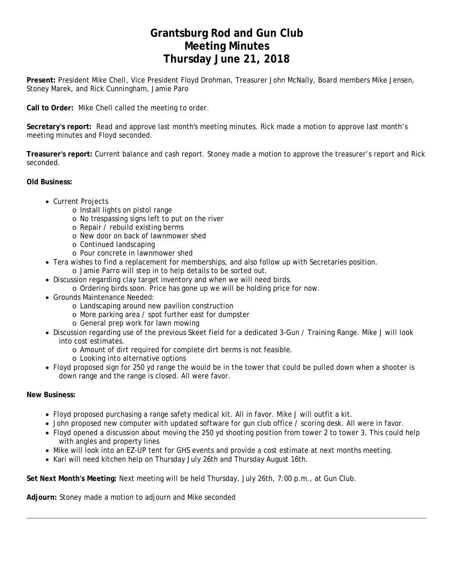# **Grantsburg Rod and Gun Club Meeting Minutes Thursday June 21, 2018**

**Present:** President Mike Chell, Vice President Floyd Drohman, Treasurer John McNally, Board members Mike Jensen, Stoney Marek, and Rick Cunningham, Jamie Paro

**Call to Order:** Mike Chell called the meeting to order.

**Secretary's report:** Read and approve last month's meeting minutes. Rick made a motion to approve last month's meeting minutes and Floyd seconded.

**Treasurer's report:** Current balance and cash report. Stoney made a motion to approve the treasurer's report and Rick seconded.

### **Old Business:**

- Current Projects
	- o Install lights on pistol range
	- o No trespassing signs left to put on the river
	- o Repair / rebuild existing berms
	- o New door on back of lawnmower shed
	- o Continued landscaping
	- o Pour concrete in lawnmower shed
- Tera wishes to find a replacement for memberships, and also follow up with Secretaries position.
	- o Jamie Parro will step in to help details to be sorted out.
- Discussion regarding clay target inventory and when we will need birds.
	- o Ordering birds soon. Price has gone up we will be holding price for now.
- Grounds Maintenance Needed:
	- o Landscaping around new pavilion construction
	- o More parking area / spot further east for dumpster
	- o General prep work for lawn mowing
- Discussion regarding use of the previous Skeet field for a dedicated 3-Gun / Training Range. Mike J will look into cost estimates.
	- o Amount of dirt required for complete dirt berms is not feasible.
	- o Looking into alternative options
- Floyd proposed sign for 250 yd range the would be in the tower that could be pulled down when a shooter is down range and the range is closed. All were favor.

#### **New Business:**

- Floyd proposed purchasing a range safety medical kit. All in favor. Mike J will outfit a kit.
- John proposed new computer with updated software for gun club office / scoring desk. All were in favor.
- Floyd opened a discussion about moving the 250 yd shooting position from tower 2 to tower 3. This could help with angles and property lines
- Mike will look into an EZ-UP tent for GHS events and provide a cost estimate at next months meeting.
- Kari will need kitchen help on Thursday July 26th and Thursday August 16th.

**Set Next Month's Meeting:** Next meeting will be held Thursday, July 26th, 7:00 p.m., at Gun Club.

**Adjourn:** Stoney made a motion to adjourn and Mike seconded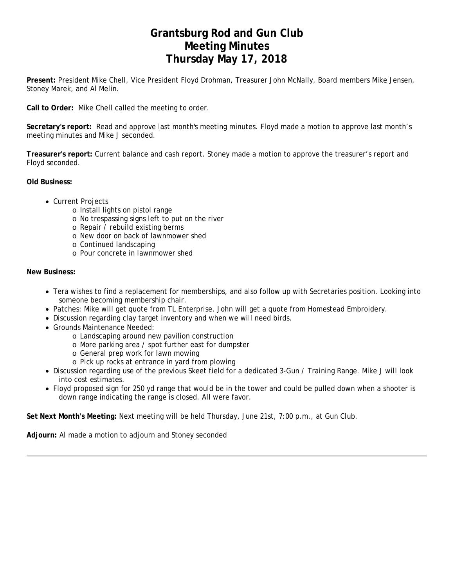# **Grantsburg Rod and Gun Club Meeting Minutes Thursday May 17, 2018**

**Present:** President Mike Chell, Vice President Floyd Drohman, Treasurer John McNally, Board members Mike Jensen, Stoney Marek, and Al Melin.

**Call to Order:** Mike Chell called the meeting to order.

**Secretary's report:** Read and approve last month's meeting minutes. Floyd made a motion to approve last month's meeting minutes and Mike J seconded.

**Treasurer's report:** Current balance and cash report. Stoney made a motion to approve the treasurer's report and Floyd seconded.

### **Old Business:**

- Current Projects
	- o Install lights on pistol range
	- o No trespassing signs left to put on the river
	- o Repair / rebuild existing berms
	- o New door on back of lawnmower shed
	- o Continued landscaping
	- o Pour concrete in lawnmower shed

#### **New Business:**

- Tera wishes to find a replacement for memberships, and also follow up with Secretaries position. Looking into someone becoming membership chair.
- Patches: Mike will get quote from TL Enterprise. John will get a quote from Homestead Embroidery.
- Discussion regarding clay target inventory and when we will need birds.
- Grounds Maintenance Needed:
	- o Landscaping around new pavilion construction
	- o More parking area / spot further east for dumpster
	- o General prep work for lawn mowing
	- o Pick up rocks at entrance in yard from plowing
- Discussion regarding use of the previous Skeet field for a dedicated 3-Gun / Training Range. Mike J will look into cost estimates.
- Floyd proposed sign for 250 yd range that would be in the tower and could be pulled down when a shooter is down range indicating the range is closed. All were favor.

**Set Next Month's Meeting:** Next meeting will be held Thursday, June 21st, 7:00 p.m., at Gun Club.

**Adjourn:** Al made a motion to adjourn and Stoney seconded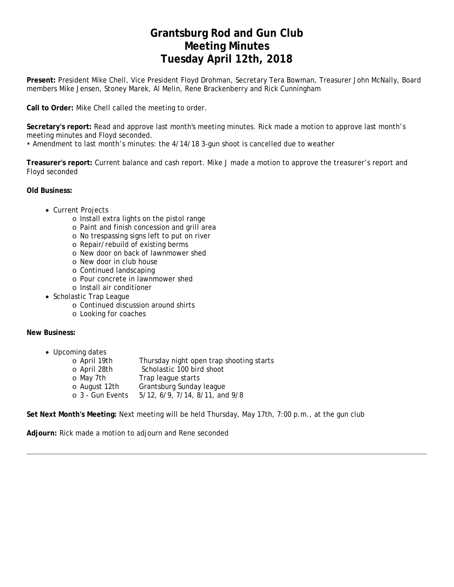# **Grantsburg Rod and Gun Club Meeting Minutes Tuesday April 12th, 2018**

**Present:** President Mike Chell, Vice President Floyd Drohman, Secretary Tera Bowman, Treasurer John McNally, Board members Mike Jensen, Stoney Marek, Al Melin, Rene Brackenberry and Rick Cunningham

**Call to Order:** Mike Chell called the meeting to order.

**Secretary's report:** Read and approve last month's meeting minutes. Rick made a motion to approve last month's meeting minutes and Floyd seconded.

• Amendment to last month's minutes: the 4/14/18 3-gun shoot is cancelled due to weather

**Treasurer's report:** Current balance and cash report. Mike J made a motion to approve the treasurer's report and Floyd seconded

### **Old Business:**

- Current Projects
	- o Install extra lights on the pistol range
	- o Paint and finish concession and grill area
	- o No trespassing signs left to put on river
	- o Repair/rebuild of existing berms
	- o New door on back of lawnmower shed
	- o New door in club house
	- o Continued landscaping
	- o Pour concrete in lawnmower shed
	- o Install air conditioner
- Scholastic Trap League
	- o Continued discussion around shirts
	- o Looking for coaches

#### **New Business:**

- Upcoming dates
	- o April 19th Thursday night open trap shooting starts o April 28th Scholastic 100 bird shoot o May 7th Trap league starts<br>
	o August 12th Grantsburg Sunday Grantsburg Sunday league o 3 - Gun Events 5/12, 6/9, 7/14, 8/11, and 9/8

**Set Next Month's Meeting:** Next meeting will be held Thursday, May 17th, 7:00 p.m., at the gun club

**Adjourn:** Rick made a motion to adjourn and Rene seconded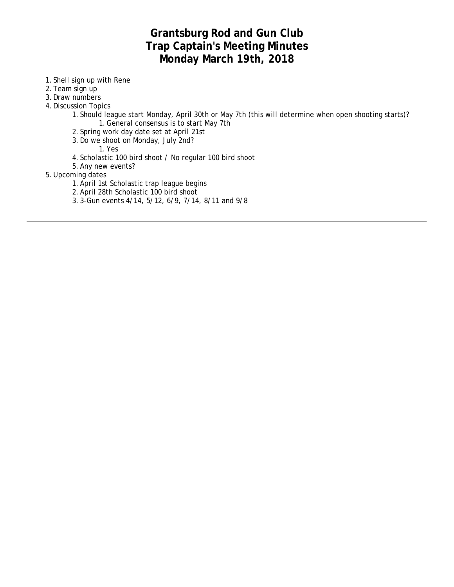## **Grantsburg Rod and Gun Club Trap Captain's Meeting Minutes Monday March 19th, 2018**

- 1. Shell sign up with Rene
- 2. Team sign up
- 3. Draw numbers
- 4. Discussion Topics
	- 1. Should league start Monday, April 30th or May 7th (this will determine when open shooting starts)? 1.General consensus is to start May 7th
	- 2. Spring work day date set at April 21st
	- 3. Do we shoot on Monday, July 2nd?

1. Yes

- 4. Scholastic 100 bird shoot / No regular 100 bird shoot
- 5. Any new events?
- 5.Upcoming dates
	- 1. April 1st Scholastic trap league begins
	- 2. April 28th Scholastic 100 bird shoot
	- 3. 3-Gun events 4/14, 5/12, 6/9, 7/14, 8/11 and 9/8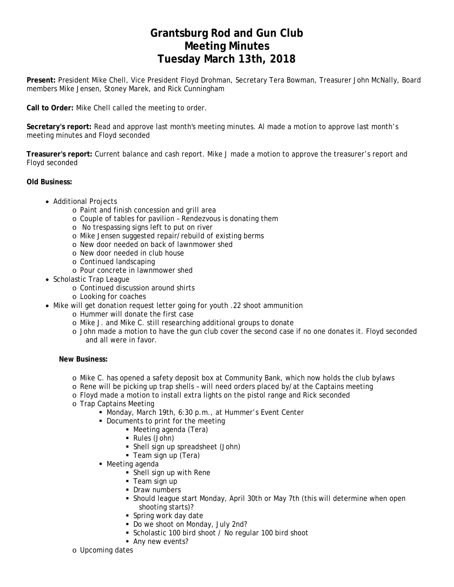# **Grantsburg Rod and Gun Club Meeting Minutes Tuesday March 13th, 2018**

**Present:** President Mike Chell, Vice President Floyd Drohman, Secretary Tera Bowman, Treasurer John McNally, Board members Mike Jensen, Stoney Marek, and Rick Cunningham

**Call to Order:** Mike Chell called the meeting to order.

**Secretary's report:** Read and approve last month's meeting minutes. Al made a motion to approve last month's meeting minutes and Floyd seconded

**Treasurer's report:** Current balance and cash report. Mike J made a motion to approve the treasurer's report and Floyd seconded

### **Old Business:**

- Additional Projects
	- o Paint and finish concession and grill area
	- o Couple of tables for pavilion Rendezvous is donating them
	- o No trespassing signs left to put on river
	- o Mike Jensen suggested repair/rebuild of existing berms
	- o New door needed on back of lawnmower shed
	- o New door needed in club house
	- o Continued landscaping
	- o Pour concrete in lawnmower shed
- Scholastic Trap League
	- o Continued discussion around shirts
	- o Looking for coaches
- Mike will get donation request letter going for youth .22 shoot ammunition
	- o Hummer will donate the first case
	- o Mike J. and Mike C. still researching additional groups to donate
	- o John made a motion to have the gun club cover the second case if no one donates it. Floyd seconded and all were in favor.

- o Mike C. has opened a safety deposit box at Community Bank, which now holds the club bylaws
- o Rene will be picking up trap shells will need orders placed by/at the Captains meeting
- o Floyd made a motion to install extra lights on the pistol range and Rick seconded
- o Trap Captains Meeting
	- Monday, March 19th, 6:30 p.m., at Hummer's Event Center
	- Documents to print for the meeting
		- Meeting agenda (Tera)
		- Rules (John)
		- Shell sign up spreadsheet (John)
		- Team sign up (Tera)
	- Meeting agenda
		- Shell sign up with Rene
		- Team sign up
		- Draw numbers
		- Should league start Monday, April 30th or May 7th (this will determine when open shooting starts)?
		- **Spring work day date**
		- Do we shoot on Monday, July 2nd?
		- Scholastic 100 bird shoot / No regular 100 bird shoot
		- Any new events?
- o Upcoming dates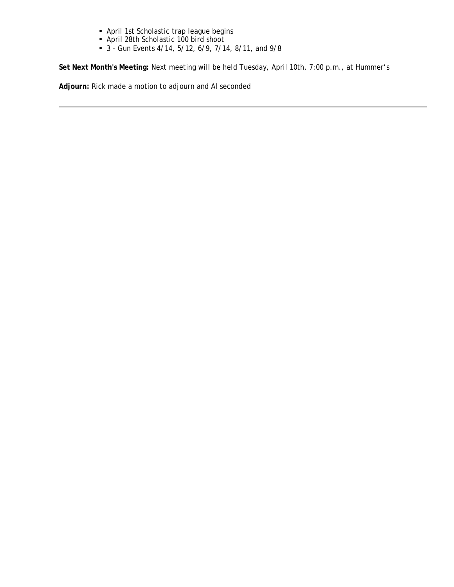- **April 1st Scholastic trap league begins**
- April 28th Scholastic 100 bird shoot
- 3 Gun Events 4/14, 5/12, 6/9, 7/14, 8/11, and 9/8

**Set Next Month's Meeting:** Next meeting will be held Tuesday, April 10th, 7:00 p.m., at Hummer's

**Adjourn:** Rick made a motion to adjourn and Al seconded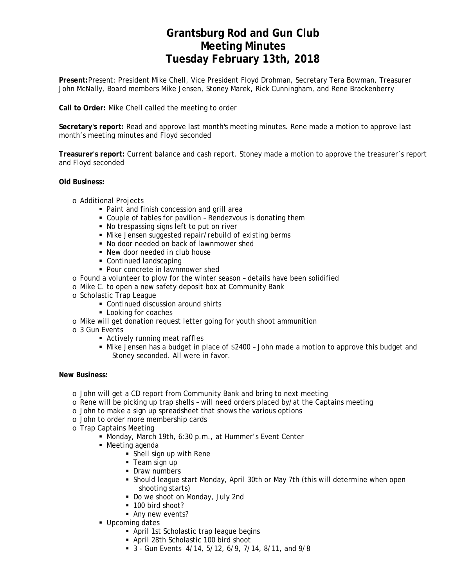# **Grantsburg Rod and Gun Club Meeting Minutes Tuesday February 13th, 2018**

**Present:**Present: President Mike Chell, Vice President Floyd Drohman, Secretary Tera Bowman, Treasurer John McNally, Board members Mike Jensen, Stoney Marek, Rick Cunningham, and Rene Brackenberry

**Call to Order:** Mike Chell called the meeting to order

**Secretary's report:** Read and approve last month's meeting minutes. Rene made a motion to approve last month's meeting minutes and Floyd seconded

**Treasurer's report:** Current balance and cash report. Stoney made a motion to approve the treasurer's report and Floyd seconded

**Old Business:**

- o Additional Projects
	- Paint and finish concession and grill area
	- Couple of tables for pavilion Rendezvous is donating them
	- No trespassing signs left to put on river
	- Mike Jensen suggested repair/rebuild of existing berms
	- No door needed on back of lawnmower shed
	- New door needed in club house
	- Continued landscaping
	- Pour concrete in lawnmower shed
- o Found a volunteer to plow for the winter season details have been solidified
- o Mike C. to open a new safety deposit box at Community Bank
- o Scholastic Trap League
	- Continued discussion around shirts
	- **Looking for coaches**
- o Mike will get donation request letter going for youth shoot ammunition
- o 3 Gun Events
	- Actively running meat raffles
	- Mike Jensen has a budget in place of \$2400 John made a motion to approve this budget and Stoney seconded. All were in favor.

- o John will get a CD report from Community Bank and bring to next meeting
- o Rene will be picking up trap shells will need orders placed by/at the Captains meeting
- o John to make a sign up spreadsheet that shows the various options
- o John to order more membership cards
- o Trap Captains Meeting
	- Monday, March 19th, 6:30 p.m., at Hummer's Event Center
	- Meeting agenda
		- Shell sign up with Rene
		- Team sign up
		- Draw numbers
		- **Should league start Monday, April 30th or May 7th (this will determine when open** shooting starts)
		- Do we shoot on Monday, July 2nd
		- 100 bird shoot?
		- Any new events?
	- **Upcoming dates** 
		- April 1st Scholastic trap league begins
		- April 28th Scholastic 100 bird shoot
		- 3 Gun Events 4/14, 5/12, 6/9, 7/14, 8/11, and 9/8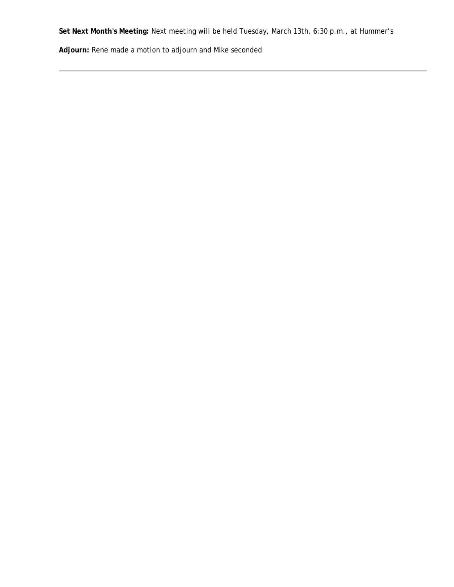**Set Next Month's Meeting:** Next meeting will be held Tuesday, March 13th, 6:30 p.m., at Hummer's

**Adjourn:** Rene made a motion to adjourn and Mike seconded